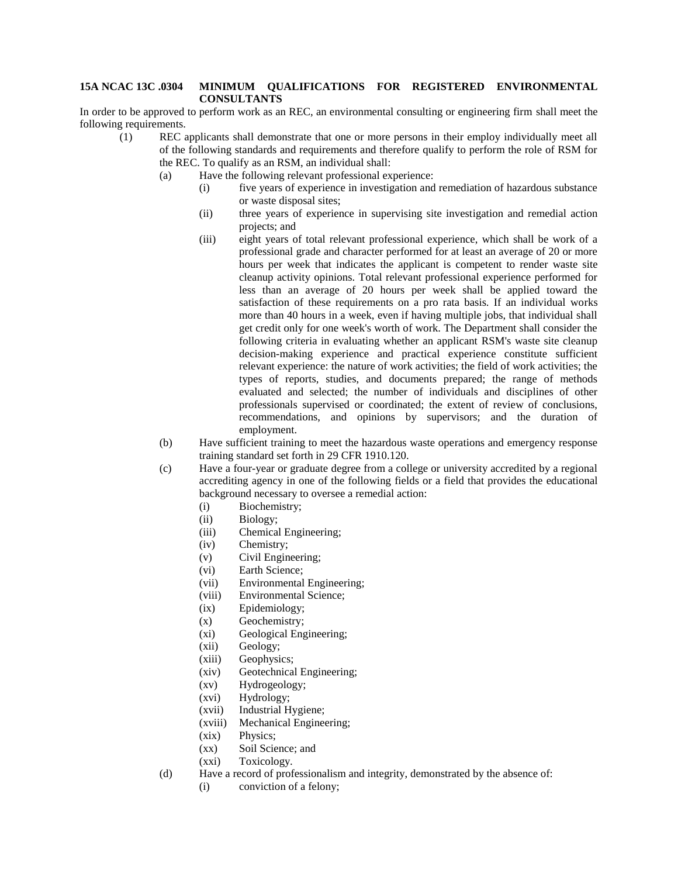## **15A NCAC 13C .0304 MINIMUM QUALIFICATIONS FOR REGISTERED ENVIRONMENTAL CONSULTANTS**

In order to be approved to perform work as an REC, an environmental consulting or engineering firm shall meet the following requirements.

- (1) REC applicants shall demonstrate that one or more persons in their employ individually meet all of the following standards and requirements and therefore qualify to perform the role of RSM for the REC. To qualify as an RSM, an individual shall:
	- (a) Have the following relevant professional experience:
		- (i) five years of experience in investigation and remediation of hazardous substance or waste disposal sites;
		- (ii) three years of experience in supervising site investigation and remedial action projects; and
		- (iii) eight years of total relevant professional experience, which shall be work of a professional grade and character performed for at least an average of 20 or more hours per week that indicates the applicant is competent to render waste site cleanup activity opinions. Total relevant professional experience performed for less than an average of 20 hours per week shall be applied toward the satisfaction of these requirements on a pro rata basis. If an individual works more than 40 hours in a week, even if having multiple jobs, that individual shall get credit only for one week's worth of work. The Department shall consider the following criteria in evaluating whether an applicant RSM's waste site cleanup decision-making experience and practical experience constitute sufficient relevant experience: the nature of work activities; the field of work activities; the types of reports, studies, and documents prepared; the range of methods evaluated and selected; the number of individuals and disciplines of other professionals supervised or coordinated; the extent of review of conclusions, recommendations, and opinions by supervisors; and the duration of employment.
	- (b) Have sufficient training to meet the hazardous waste operations and emergency response training standard set forth in 29 CFR 1910.120.
	- (c) Have a four-year or graduate degree from a college or university accredited by a regional accrediting agency in one of the following fields or a field that provides the educational background necessary to oversee a remedial action:
		- (i) Biochemistry;
		- (ii) Biology;
		- (iii) Chemical Engineering;
		- (iv) Chemistry;
		- (v) Civil Engineering;
		- (vi) Earth Science;
		- (vii) Environmental Engineering;
		- (viii) Environmental Science;
		- (ix) Epidemiology;
		- (x) Geochemistry;
		- (xi) Geological Engineering;
		- (xii) Geology;
		- (xiii) Geophysics;
		- (xiv) Geotechnical Engineering;
		- (xv) Hydrogeology;
		- (xvi) Hydrology;
		- (xvii) Industrial Hygiene;
		- (xviii) Mechanical Engineering;
		- (xix) Physics;
		- (xx) Soil Science; and
		- (xxi) Toxicology.
	- (d) Have a record of professionalism and integrity, demonstrated by the absence of:
		- (i) conviction of a felony;